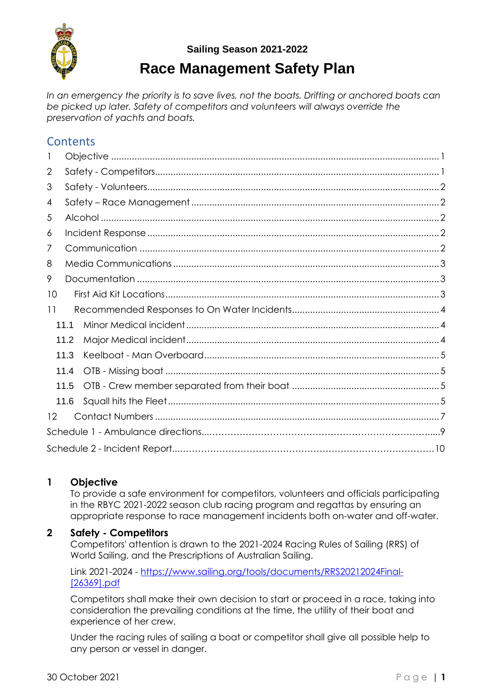

# **Race Management Safety Plan**

*In an emergency the priority is to save lives, not the boats. Drifting or anchored boats can be picked up later. Safety of competitors and volunteers will always override the preservation of yachts and boats.*

### **Contents**

| J.   |      |  |  |  |  |
|------|------|--|--|--|--|
| 2    |      |  |  |  |  |
| 3    |      |  |  |  |  |
| 4    |      |  |  |  |  |
| 5    |      |  |  |  |  |
| 6    |      |  |  |  |  |
| 7    |      |  |  |  |  |
| 8    |      |  |  |  |  |
| 9    |      |  |  |  |  |
| 10   |      |  |  |  |  |
| 11   |      |  |  |  |  |
|      | 11.1 |  |  |  |  |
| 11.2 |      |  |  |  |  |
| 11.3 |      |  |  |  |  |
| 11.4 |      |  |  |  |  |
|      | 11.5 |  |  |  |  |
|      | 11.6 |  |  |  |  |
| 12   |      |  |  |  |  |
|      |      |  |  |  |  |
|      |      |  |  |  |  |

#### <span id="page-0-0"></span>**1 Objective**

To provide a safe environment for competitors, volunteers and officials participating in the RBYC 2021-2022 season club racing program and regattas by ensuring an appropriate response to race management incidents both on-water and off-water.

#### <span id="page-0-1"></span>**2 Safety - Competitors**

Competitors' attention is drawn to the 2021-2024 Racing Rules of Sailing (RRS) of World Sailing, and the Prescriptions of Australian Sailing.

Link 2021-2024 - [https://www.sailing.org/tools/documents/RRS20212024Final-](https://www.sailing.org/tools/documents/RRS20212024Final-%5b26369%5d.pdf) [\[26369\].pdf](https://www.sailing.org/tools/documents/RRS20212024Final-%5b26369%5d.pdf)

Competitors shall make their own decision to start or proceed in a race, taking into consideration the prevailing conditions at the time, the utility of their boat and experience of her crew.

Under the racing rules of sailing a boat or competitor shall give all possible help to any person or vessel in danger.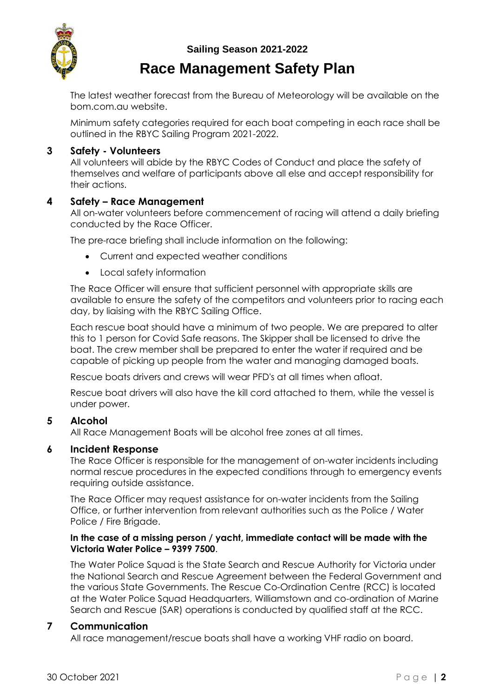

### **Race Management Safety Plan**

The latest weather forecast from the Bureau of Meteorology will be available on the bom.com.au website.

Minimum safety categories required for each boat competing in each race shall be outlined in the RBYC Sailing Program 2021-2022.

#### <span id="page-1-0"></span>**3 Safety - Volunteers**

All volunteers will abide by the RBYC Codes of Conduct and place the safety of themselves and welfare of participants above all else and accept responsibility for their actions.

#### <span id="page-1-1"></span>**4 Safety – Race Management**

All on-water volunteers before commencement of racing will attend a daily briefing conducted by the Race Officer.

The pre-race briefing shall include information on the following:

- Current and expected weather conditions
- Local safety information

The Race Officer will ensure that sufficient personnel with appropriate skills are available to ensure the safety of the competitors and volunteers prior to racing each day, by liaising with the RBYC Sailing Office.

Each rescue boat should have a minimum of two people. We are prepared to alter this to 1 person for Covid Safe reasons. The Skipper shall be licensed to drive the boat. The crew member shall be prepared to enter the water if required and be capable of picking up people from the water and managing damaged boats.

Rescue boats drivers and crews will wear PFD's at all times when afloat.

Rescue boat drivers will also have the kill cord attached to them, while the vessel is under power.

#### <span id="page-1-2"></span>**5 Alcohol**

All Race Management Boats will be alcohol free zones at all times.

#### <span id="page-1-3"></span>**6 Incident Response**

The Race Officer is responsible for the management of on-water incidents including normal rescue procedures in the expected conditions through to emergency events requiring outside assistance.

The Race Officer may request assistance for on-water incidents from the Sailing Office, or further intervention from relevant authorities such as the Police / Water Police / Fire Brigade.

#### **In the case of a missing person / yacht, immediate contact will be made with the Victoria Water Police – 9399 7500**.

The Water Police Squad is the State Search and Rescue Authority for Victoria under the National Search and Rescue Agreement between the Federal Government and the various State Governments. The Rescue Co-Ordination Centre (RCC) is located at the Water Police Squad Headquarters, Williamstown and co-ordination of Marine Search and Rescue (SAR) operations is conducted by qualified staff at the RCC.

#### <span id="page-1-4"></span>**7 Communication**

All race management/rescue boats shall have a working VHF radio on board.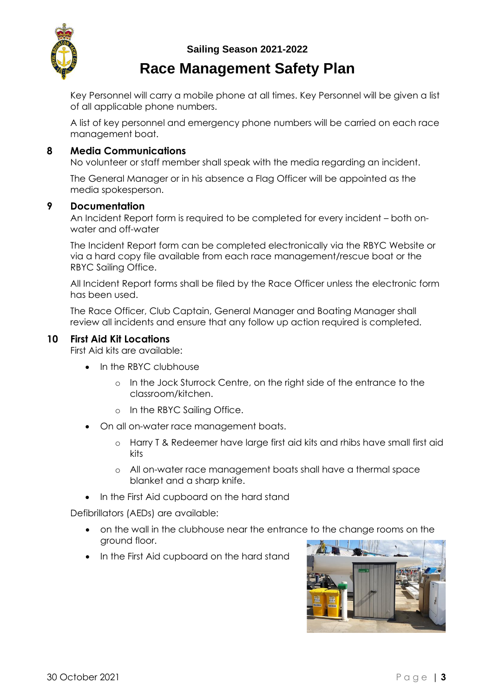### **Race Management Safety Plan**

Key Personnel will carry a mobile phone at all times. Key Personnel will be given a list of all applicable phone numbers.

A list of key personnel and emergency phone numbers will be carried on each race management boat.

#### <span id="page-2-0"></span>**8 Media Communications**

No volunteer or staff member shall speak with the media regarding an incident.

The General Manager or in his absence a Flag Officer will be appointed as the media spokesperson.

#### <span id="page-2-1"></span>**9 Documentation**

An Incident Report form is required to be completed for every incident – both onwater and off-water

The Incident Report form can be completed electronically via the RBYC Website or via a hard copy file available from each race management/rescue boat or the RBYC Sailing Office.

All Incident Report forms shall be filed by the Race Officer unless the electronic form has been used.

The Race Officer, Club Captain, General Manager and Boating Manager shall review all incidents and ensure that any follow up action required is completed.

#### <span id="page-2-2"></span>**10 First Aid Kit Locations**

First Aid kits are available:

- In the RBYC clubhouse
	- o In the Jock Sturrock Centre, on the right side of the entrance to the classroom/kitchen.
	- o In the RBYC Sailing Office.
- On all on-water race management boats.
	- o Harry T & Redeemer have large first aid kits and rhibs have small first aid kits
	- o All on-water race management boats shall have a thermal space blanket and a sharp knife.
- In the First Aid cupboard on the hard stand

Defibrillators (AEDs) are available:

- on the wall in the clubhouse near the entrance to the change rooms on the ground floor.
- In the First Aid cupboard on the hard stand

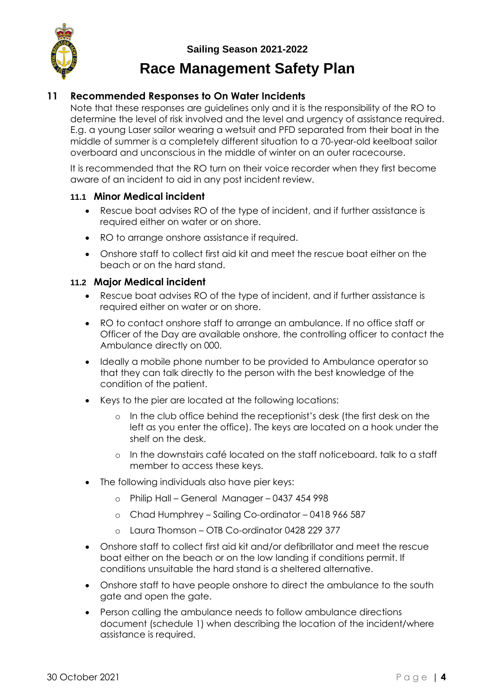

#### <span id="page-3-0"></span>**11 Recommended Responses to On Water Incidents**

Note that these responses are guidelines only and it is the responsibility of the RO to determine the level of risk involved and the level and urgency of assistance required. E.g. a young Laser sailor wearing a wetsuit and PFD separated from their boat in the middle of summer is a completely different situation to a 70-year-old keelboat sailor overboard and unconscious in the middle of winter on an outer racecourse.

It is recommended that the RO turn on their voice recorder when they first become aware of an incident to aid in any post incident review.

#### <span id="page-3-1"></span>**11.1 Minor Medical incident**

- Rescue boat advises RO of the type of incident, and if further assistance is required either on water or on shore.
- RO to arrange onshore assistance if required.
- Onshore staff to collect first aid kit and meet the rescue boat either on the beach or on the hard stand.

#### <span id="page-3-2"></span>**11.2 Major Medical incident**

- Rescue boat advises RO of the type of incident, and if further assistance is required either on water or on shore.
- RO to contact onshore staff to arrange an ambulance. If no office staff or Officer of the Day are available onshore, the controlling officer to contact the Ambulance directly on 000.
- Ideally a mobile phone number to be provided to Ambulance operator so that they can talk directly to the person with the best knowledge of the condition of the patient.
- Keys to the pier are located at the following locations:
	- In the club office behind the receptionist's desk (the first desk on the left as you enter the office). The keys are located on a hook under the shelf on the desk.
	- o In the downstairs café located on the staff noticeboard. talk to a staff member to access these keys.
- The following individuals also have pier keys:
	- o Philip Hall General Manager 0437 454 998
	- o Chad Humphrey Sailing Co-ordinator 0418 966 587
	- o Laura Thomson OTB Co-ordinator 0428 229 377
- Onshore staff to collect first aid kit and/or defibrillator and meet the rescue boat either on the beach or on the low landing if conditions permit. If conditions unsuitable the hard stand is a sheltered alternative.
- Onshore staff to have people onshore to direct the ambulance to the south gate and open the gate.
- Person calling the ambulance needs to follow ambulance directions document (schedule 1) when describing the location of the incident/where assistance is required.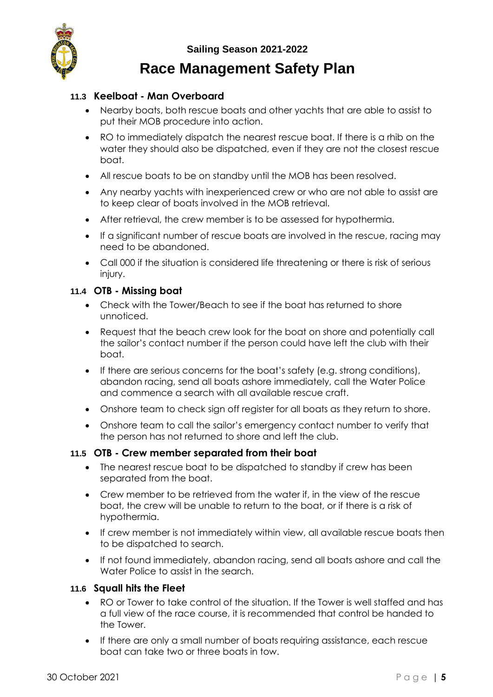

#### <span id="page-4-0"></span>**11.3 Keelboat - Man Overboard**

- Nearby boats, both rescue boats and other yachts that are able to assist to put their MOB procedure into action.
- RO to immediately dispatch the nearest rescue boat. If there is a rhib on the water they should also be dispatched, even if they are not the closest rescue boat.
- All rescue boats to be on standby until the MOB has been resolved.
- Any nearby yachts with inexperienced crew or who are not able to assist are to keep clear of boats involved in the MOB retrieval.
- After retrieval, the crew member is to be assessed for hypothermia.
- If a significant number of rescue boats are involved in the rescue, racing may need to be abandoned.
- Call 000 if the situation is considered life threatening or there is risk of serious injury.

#### <span id="page-4-1"></span>**11.4 OTB - Missing boat**

- Check with the Tower/Beach to see if the boat has returned to shore unnoticed.
- Request that the beach crew look for the boat on shore and potentially call the sailor's contact number if the person could have left the club with their boat.
- If there are serious concerns for the boat's safety (e.g. strong conditions), abandon racing, send all boats ashore immediately, call the Water Police and commence a search with all available rescue craft.
- Onshore team to check sign off register for all boats as they return to shore.
- Onshore team to call the sailor's emergency contact number to verify that the person has not returned to shore and left the club.

#### <span id="page-4-2"></span>**11.5 OTB - Crew member separated from their boat**

- The nearest rescue boat to be dispatched to standby if crew has been separated from the boat.
- Crew member to be retrieved from the water if, in the view of the rescue boat, the crew will be unable to return to the boat, or if there is a risk of hypothermia.
- If crew member is not immediately within view, all available rescue boats then to be dispatched to search.
- If not found immediately, abandon racing, send all boats ashore and call the Water Police to assist in the search.

#### <span id="page-4-3"></span>**11.6 Squall hits the Fleet**

- RO or Tower to take control of the situation. If the Tower is well staffed and has a full view of the race course, it is recommended that control be handed to the Tower.
- If there are only a small number of boats requiring assistance, each rescue boat can take two or three boats in tow.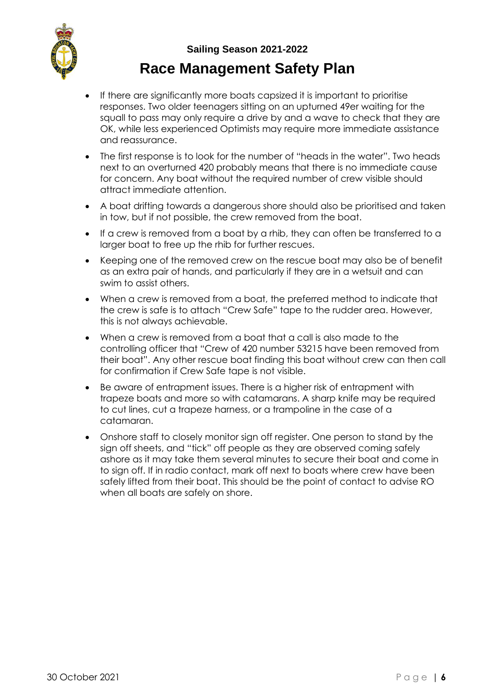- If there are significantly more boats capsized it is important to prioritise responses. Two older teenagers sitting on an upturned 49er waiting for the squall to pass may only require a drive by and a wave to check that they are OK, while less experienced Optimists may require more immediate assistance and reassurance.
- The first response is to look for the number of "heads in the water". Two heads next to an overturned 420 probably means that there is no immediate cause for concern. Any boat without the required number of crew visible should attract immediate attention.
- A boat drifting towards a dangerous shore should also be prioritised and taken in tow, but if not possible, the crew removed from the boat.
- If a crew is removed from a boat by a rhib, they can often be transferred to a larger boat to free up the rhib for further rescues.
- Keeping one of the removed crew on the rescue boat may also be of benefit as an extra pair of hands, and particularly if they are in a wetsuit and can swim to assist others.
- When a crew is removed from a boat, the preferred method to indicate that the crew is safe is to attach "Crew Safe" tape to the rudder area. However, this is not always achievable.
- When a crew is removed from a boat that a call is also made to the controlling officer that "Crew of 420 number 53215 have been removed from their boat". Any other rescue boat finding this boat without crew can then call for confirmation if Crew Safe tape is not visible.
- Be aware of entrapment issues. There is a higher risk of entrapment with trapeze boats and more so with catamarans. A sharp knife may be required to cut lines, cut a trapeze harness, or a trampoline in the case of a catamaran.
- Onshore staff to closely monitor sign off register. One person to stand by the sign off sheets, and "tick" off people as they are observed coming safely ashore as it may take them several minutes to secure their boat and come in to sign off. If in radio contact, mark off next to boats where crew have been safely lifted from their boat. This should be the point of contact to advise RO when all boats are safely on shore.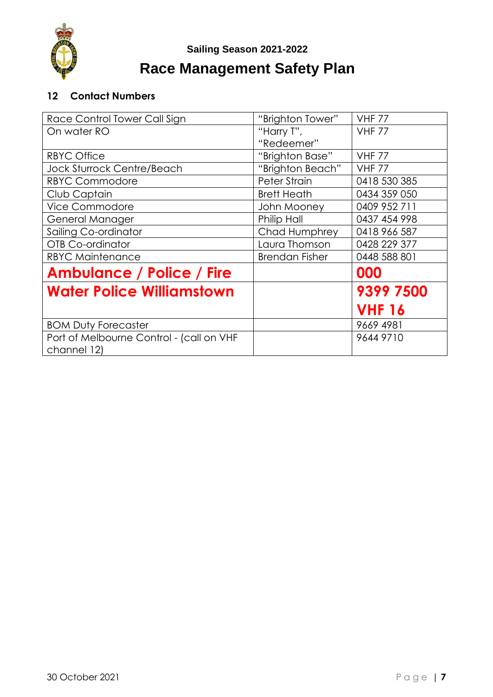

# **Race Management Safety Plan**

### <span id="page-6-0"></span>**12 Contact Numbers**

| Race Control Tower Call Sign                            | "Brighton Tower"      | <b>VHF 77</b> |
|---------------------------------------------------------|-----------------------|---------------|
| On water RO                                             | "Harry T",            | <b>VHF 77</b> |
|                                                         | "Redeemer"            |               |
| <b>RBYC Office</b>                                      | "Brighton Base"       | <b>VHF 77</b> |
| <b>Jock Sturrock Centre/Beach</b>                       | "Brighton Beach"      | <b>VHF 77</b> |
| <b>RBYC Commodore</b>                                   | Peter Strain          | 0418 530 385  |
| Club Captain                                            | <b>Brett Heath</b>    | 0434 359 050  |
| <b>Vice Commodore</b>                                   | John Mooney           | 0409 952 711  |
| General Manager                                         | Philip Hall           | 0437 454 998  |
| Sailing Co-ordinator                                    | Chad Humphrey         | 0418 966 587  |
| <b>OTB Co-ordinator</b>                                 | Laura Thomson         | 0428 229 377  |
| <b>RBYC Maintenance</b>                                 | <b>Brendan Fisher</b> | 0448 588 801  |
| <b>Ambulance / Police / Fire</b>                        |                       | 000           |
| <b>Water Police Williamstown</b>                        |                       | 9399 7500     |
|                                                         |                       | <b>VHF 16</b> |
| <b>BOM Duty Forecaster</b>                              |                       | 9669 4981     |
| Port of Melbourne Control - (call on VHF<br>channel 12) |                       | 9644 9710     |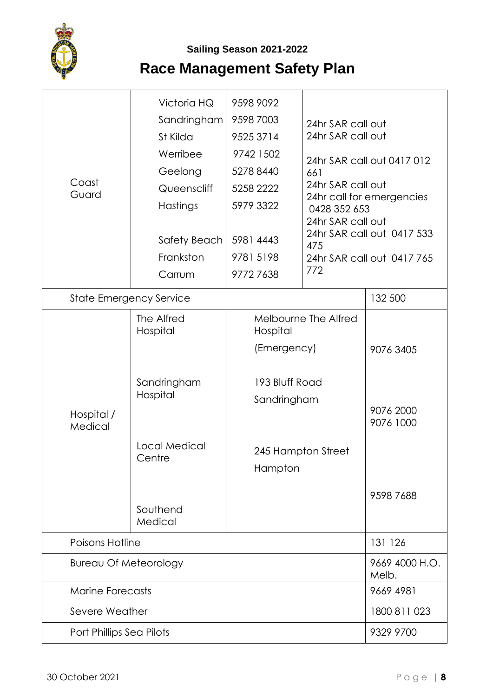

| Coast<br>Guard                 | Victoria HQ<br>Sandringham<br>St Kilda<br>Werribee<br>Geelong<br>Queenscliff<br>Hastings<br>Safety Beach<br>Frankston<br>Carrum | 9598 9092<br>9598 7003<br>9525 3714<br>9742 1502<br>5278 8440<br>5258 2222<br>5979 3322<br>5981 4443<br>9781 5198<br>97727638 | 24hr SAR call out<br>24hr SAR call out<br>661<br>24hr SAR call out<br>0428 352 653<br>24hr SAR call out<br>475<br>772 | 24hr SAR call out 0417 012<br>24hr call for emergencies<br>24hr SAR call out 0417 533<br>24hr SAR call out 0417 765 |  |
|--------------------------------|---------------------------------------------------------------------------------------------------------------------------------|-------------------------------------------------------------------------------------------------------------------------------|-----------------------------------------------------------------------------------------------------------------------|---------------------------------------------------------------------------------------------------------------------|--|
| <b>State Emergency Service</b> |                                                                                                                                 |                                                                                                                               |                                                                                                                       | 132 500                                                                                                             |  |
| Hospital /<br>Medical          | The Alfred<br>Hospital<br>Sandringham<br>Hospital<br>Local Medical<br>Centre<br>Southend<br>Medical                             | Hospital<br>(Emergency)<br>193 Bluff Road<br>Sandringham<br>Hampton                                                           | Melbourne The Alfred<br>245 Hampton Street                                                                            | 9076 3405<br>9076 2000<br>9076 1000<br>95987688                                                                     |  |
|                                | Poisons Hotline                                                                                                                 |                                                                                                                               |                                                                                                                       |                                                                                                                     |  |
|                                | <b>Bureau Of Meteorology</b>                                                                                                    |                                                                                                                               |                                                                                                                       |                                                                                                                     |  |
|                                | <b>Marine Forecasts</b>                                                                                                         |                                                                                                                               |                                                                                                                       |                                                                                                                     |  |
|                                | Severe Weather                                                                                                                  |                                                                                                                               |                                                                                                                       |                                                                                                                     |  |
|                                | Port Phillips Sea Pilots                                                                                                        |                                                                                                                               |                                                                                                                       |                                                                                                                     |  |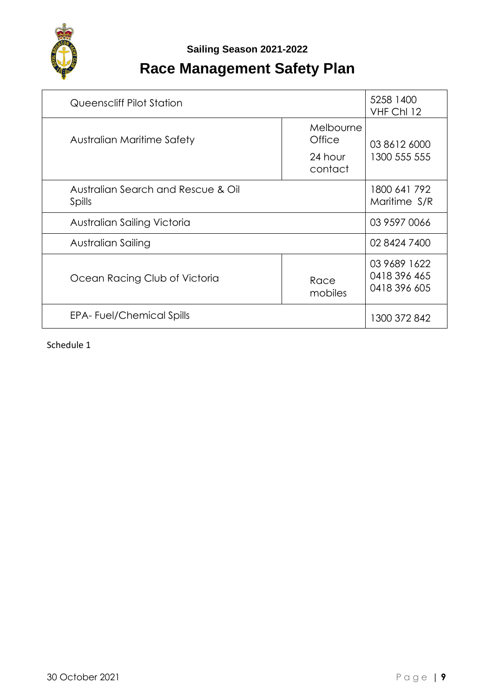

# **Race Management Safety Plan**

| Queenscliff Pilot Station                    | 5258 1400<br>VHF ChI 12                   |                                              |
|----------------------------------------------|-------------------------------------------|----------------------------------------------|
| Australian Maritime Safety                   | Melbourne<br>Office<br>24 hour<br>contact | 03 8612 6000<br>1300 555 555                 |
| Australian Search and Rescue & Oil<br>Spills | 1800 641 792<br>Maritime S/R              |                                              |
| Australian Sailing Victoria                  | 03 9597 0066                              |                                              |
| Australian Sailing                           | 02 8424 7400                              |                                              |
| Ocean Racing Club of Victoria                | Race<br>mobiles                           | 03 9689 1622<br>0418 396 465<br>0418 396 605 |
| <b>EPA-Fuel/Chemical Spills</b>              |                                           | 1300 372 842                                 |

Schedule 1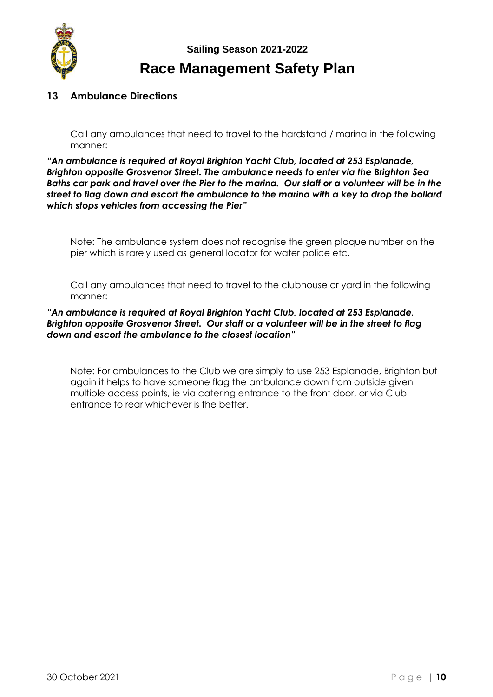

#### **13 Ambulance Directions**

Call any ambulances that need to travel to the hardstand / marina in the following manner:

*"An ambulance is required at Royal Brighton Yacht Club, located at 253 Esplanade, Brighton opposite Grosvenor Street. The ambulance needs to enter via the Brighton Sea Baths car park and travel over the Pier to the marina. Our staff or a volunteer will be in the street to flag down and escort the ambulance to the marina with a key to drop the bollard which stops vehicles from accessing the Pier"* 

Note: The ambulance system does not recognise the green plaque number on the pier which is rarely used as general locator for water police etc.

Call any ambulances that need to travel to the clubhouse or yard in the following manner:

#### *"An ambulance is required at Royal Brighton Yacht Club, located at 253 Esplanade, Brighton opposite Grosvenor Street. Our staff or a volunteer will be in the street to flag down and escort the ambulance to the closest location"*

Note: For ambulances to the Club we are simply to use 253 Esplanade, Brighton but again it helps to have someone flag the ambulance down from outside given multiple access points, ie via catering entrance to the front door, or via Club entrance to rear whichever is the better.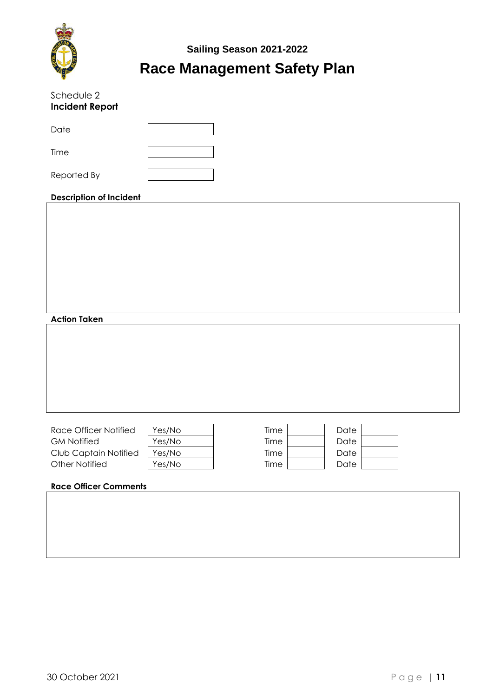

| Schedule 2<br><b>Incident Report</b>           |                  |              |              |  |  |  |
|------------------------------------------------|------------------|--------------|--------------|--|--|--|
| Date                                           |                  |              |              |  |  |  |
| Time                                           |                  |              |              |  |  |  |
| Reported By                                    |                  |              |              |  |  |  |
| <b>Description of Incident</b>                 |                  |              |              |  |  |  |
|                                                |                  |              |              |  |  |  |
|                                                |                  |              |              |  |  |  |
|                                                |                  |              |              |  |  |  |
|                                                |                  |              |              |  |  |  |
|                                                |                  |              |              |  |  |  |
| <b>Action Taken</b>                            |                  |              |              |  |  |  |
|                                                |                  |              |              |  |  |  |
|                                                |                  |              |              |  |  |  |
|                                                |                  |              |              |  |  |  |
|                                                |                  |              |              |  |  |  |
| Race Officer Notified                          | Yes/No           | Time         | Date         |  |  |  |
| <b>GM Notified</b>                             | Yes/No           | Time         | Date         |  |  |  |
| Club Captain Notified<br><b>Other Notified</b> | Yes/No<br>Yes/No | Time<br>Time | Date<br>Date |  |  |  |
| <b>Race Officer Comments</b>                   |                  |              |              |  |  |  |
|                                                |                  |              |              |  |  |  |
|                                                |                  |              |              |  |  |  |
|                                                |                  |              |              |  |  |  |